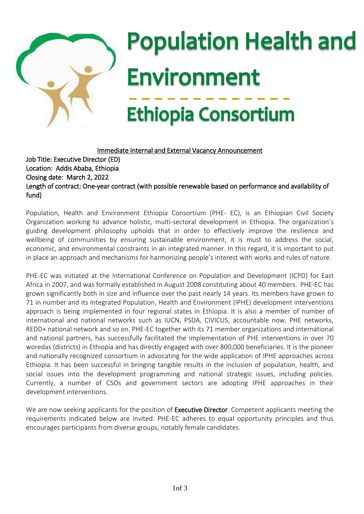

# $\overline{\phantom{a}}$ j I j j ١ ľ

Immediate Internal and External Vacancy Announcement Job Title: Executive Director (ED) Location: Addis Ababa, Ethiopia Closing date: March 2, 2022 Length of contract: One-year contract (with possible renewable based on performance and availability of fund)

Population, Health and Environment Ethiopia Consortium (PHE- EC), is an Ethiopian Civil Society Organization working to advance holistic, multi-sectoral development in Ethiopia. The organization's guiding development philosophy upholds that in order to effectively improve the resilience and wellbeing of communities by ensuring sustainable environment, it is must to address the social, economic, and environmental constraints in an integrated manner. In this regard, it is important to put in place an approach and mechanisms for harmonizing people's interest with works and rules of nature.

PHE-EC was initiated at the International Conference on Population and Development (ICPD) for East Africa in 2007, and was formally established in August 2008 constituting about 40 members. PHE-EC has grown significantly both in size and influence over the past nearly 14 years. Its members have grown to 71 in number and its Integrated Population, Health and Environment (IPHE) development interventions approach is being implemented in four regional states in Ethiopia. It is also a member of number of international and national networks such as IUCN, PSDA, CIVICUS, accountable now, PHE networks, REDD+ national network and so on. PHE-EC together with its 71 member organizations and international and national partners, has successfully facilitated the implementation of PHE interventions in over 70 woredas (districts) in Ethiopia and has directly engaged with over 800,000 beneficiaries. It is the pioneer and nationally recognized consortium in advocating for the wide application of IPHE approaches across Ethiopia. It has been successful in bringing tangible results in the inclusion of population, health, and social issues into the development programming and national strategic issues, including policies. Currently, a number of CSOs and government sectors are adopting IPHE approaches in their development interventions.

We are now seeking applicants for the position of Executive Director. Competent applicants meeting the requirements indicated below are invited. PHE-EC adheres to equal opportunity principles and thus encourages participants from diverse groups, notably female candidates.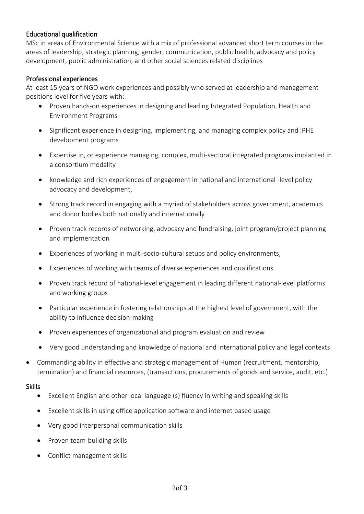### Educational qualification

MSc in areas of Environmental Science with a mix of professional advanced short term courses in the areas of leadership, strategic planning, gender, communication, public health, advocacy and policy development, public administration, and other social sciences related disciplines

### Professional experiences

At least 15 years of NGO work experiences and possibly who served at leadership and management positions level for five years with:

- Proven hands-on experiences in designing and leading Integrated Population, Health and Environment Programs
- Significant experience in designing, implementing, and managing complex policy and IPHE development programs
- Expertise in, or experience managing, complex, multi-sectoral integrated programs implanted in a consortium modality
- knowledge and rich experiences of engagement in national and international -level policy advocacy and development,
- Strong track record in engaging with a myriad of stakeholders across government, academics and donor bodies both nationally and internationally
- Proven track records of networking, advocacy and fundraising, joint program/project planning and implementation
- Experiences of working in multi-socio-cultural setups and policy environments,
- Experiences of working with teams of diverse experiences and qualifications
- Proven track record of national-level engagement in leading different national-level platforms and working groups
- Particular experience in fostering relationships at the highest level of government, with the ability to influence decision-making
- Proven experiences of organizational and program evaluation and review
- Very good understanding and knowledge of national and international policy and legal contexts
- Commanding ability in effective and strategic management of Human (recruitment, mentorship, termination) and financial resources, (transactions, procurements of goods and service, audit, etc.)

#### **Skills**

- Excellent English and other local language (s) fluency in writing and speaking skills
- Excellent skills in using office application software and internet based usage
- Very good interpersonal communication skills
- Proven team-building skills
- Conflict management skills